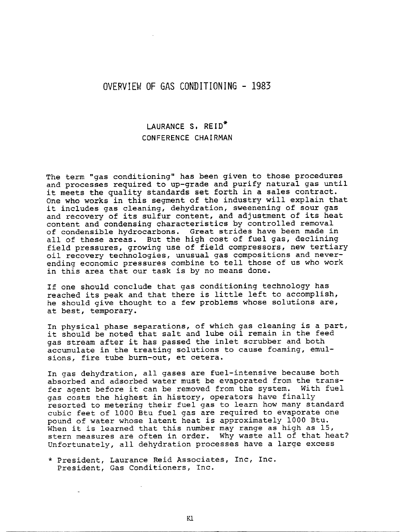## **OVERVIEW OF GAS CONDITIONING - 1983**

## LAURANCE **S, REID\***  CONFERENCE CHAIRMAN

The term "gas conditioning" has been given to those procedures and processes required to up-grade and purify natural gas until it meets the quality standards set forth in a sales contract. One who works in this segment of the industry will explain that it includes gas cleaning, dehydration, sweenening of sour gas and recovery of its sulfur content, and adjustment of its heat content and condensing characteristics by controlled removal of condensible hydrocarbons. Great strides have been made in all of these areas. But the high cost of fuel gas, declining field pressures, growing use of field compressors, new tertiary oil recovery technologies, unusual gas compositions and neverending economic pressures combine to tell those of us who work in this area that our task is by no means done.

If one should conclude that gas conditioning technology has reached its peak and that there is little left to accomplish, he should give thought to a few problems whose solutions are, at best, temporary.

In physical phase separations, of which gas cleaning is a part, it should be noted that salt and lube oil remain in the feed gas stream after it has passed the inlet scrubber and both accumulate in the treating solutions to cause foaming, emulsions, fire tube burn-out, et cetera.

In gas dehydration, all gases are fuel-intensive because both absorbed and adsorbed water must be evaporated from the transfer agent before it can be removed from the system. With fuel gas costs the highest in history, operators have finally resorted to metering their fuel gas to learn how many standard cubic feet of 1000 Btu fuel gas are required to evaporate one pound of water whose latent heat is approximately i000 Btu. When it is learned that this number may range as high as 15, stern measures are often in order. Why waste all of that heat? Unfortunately, all dehydration processes have a large excess

\* President, Laurance Reid Associates, Inc, Inc. President, Gas Conditioners, Inc.